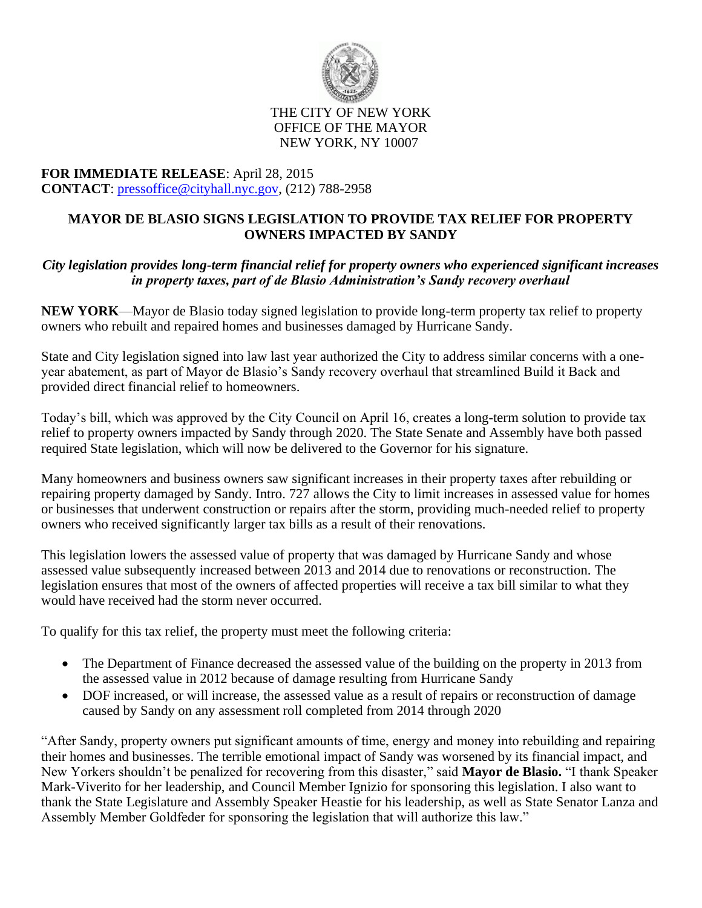

## THE CITY OF NEW YORK OFFICE OF THE MAYOR NEW YORK, NY 10007

## **FOR IMMEDIATE RELEASE**: April 28, 2015 **CONTACT**: [pressoffice@cityhall.nyc.gov,](mailto:pressoffice@cityhall.nyc.gov) (212) 788-2958

## **MAYOR DE BLASIO SIGNS LEGISLATION TO PROVIDE TAX RELIEF FOR PROPERTY OWNERS IMPACTED BY SANDY**

## *City legislation provides long-term financial relief for property owners who experienced significant increases in property taxes, part of de Blasio Administration's Sandy recovery overhaul*

**NEW YORK**—Mayor de Blasio today signed legislation to provide long-term property tax relief to property owners who rebuilt and repaired homes and businesses damaged by Hurricane Sandy.

State and City legislation signed into law last year authorized the City to address similar concerns with a oneyear abatement, as part of Mayor de Blasio's Sandy recovery overhaul that streamlined Build it Back and provided direct financial relief to homeowners.

Today's bill, which was approved by the City Council on April 16, creates a long-term solution to provide tax relief to property owners impacted by Sandy through 2020. The State Senate and Assembly have both passed required State legislation, which will now be delivered to the Governor for his signature.

Many homeowners and business owners saw significant increases in their property taxes after rebuilding or repairing property damaged by Sandy. Intro. 727 allows the City to limit increases in assessed value for homes or businesses that underwent construction or repairs after the storm, providing much-needed relief to property owners who received significantly larger tax bills as a result of their renovations.

This legislation lowers the assessed value of property that was damaged by Hurricane Sandy and whose assessed value subsequently increased between 2013 and 2014 due to renovations or reconstruction. The legislation ensures that most of the owners of affected properties will receive a tax bill similar to what they would have received had the storm never occurred.

To qualify for this tax relief, the property must meet the following criteria:

- The Department of Finance decreased the assessed value of the building on the property in 2013 from the assessed value in 2012 because of damage resulting from Hurricane Sandy
- DOF increased, or will increase, the assessed value as a result of repairs or reconstruction of damage caused by Sandy on any assessment roll completed from 2014 through 2020

"After Sandy, property owners put significant amounts of time, energy and money into rebuilding and repairing their homes and businesses. The terrible emotional impact of Sandy was worsened by its financial impact, and New Yorkers shouldn't be penalized for recovering from this disaster," said **Mayor de Blasio.** "I thank Speaker Mark-Viverito for her leadership, and Council Member Ignizio for sponsoring this legislation. I also want to thank the State Legislature and Assembly Speaker Heastie for his leadership, as well as State Senator Lanza and Assembly Member Goldfeder for sponsoring the legislation that will authorize this law."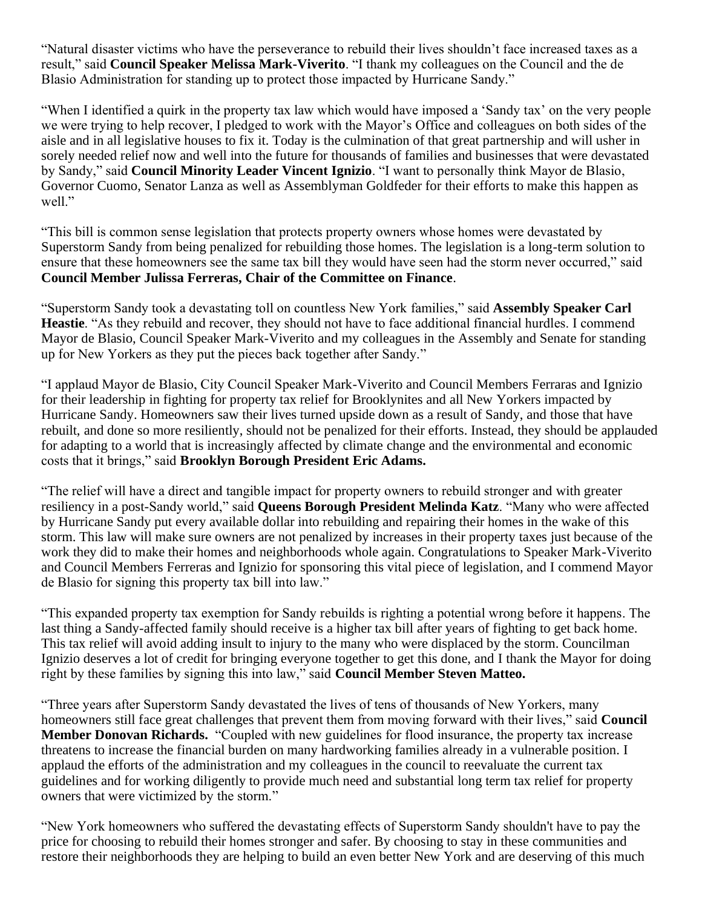"Natural disaster victims who have the perseverance to rebuild their lives shouldn't face increased taxes as a result," said **Council Speaker Melissa Mark-Viverito**. "I thank my colleagues on the Council and the de Blasio Administration for standing up to protect those impacted by Hurricane Sandy."

"When I identified a quirk in the property tax law which would have imposed a 'Sandy tax' on the very people we were trying to help recover, I pledged to work with the Mayor's Office and colleagues on both sides of the aisle and in all legislative houses to fix it. Today is the culmination of that great partnership and will usher in sorely needed relief now and well into the future for thousands of families and businesses that were devastated by Sandy," said **Council Minority Leader Vincent Ignizio**. "I want to personally think Mayor de Blasio, Governor Cuomo, Senator Lanza as well as Assemblyman Goldfeder for their efforts to make this happen as well."

"This bill is common sense legislation that protects property owners whose homes were devastated by Superstorm Sandy from being penalized for rebuilding those homes. The legislation is a long-term solution to ensure that these homeowners see the same tax bill they would have seen had the storm never occurred," said **Council Member Julissa Ferreras, Chair of the Committee on Finance**.

"Superstorm Sandy took a devastating toll on countless New York families," said **Assembly Speaker Carl Heastie**. "As they rebuild and recover, they should not have to face additional financial hurdles. I commend Mayor de Blasio, Council Speaker Mark-Viverito and my colleagues in the Assembly and Senate for standing up for New Yorkers as they put the pieces back together after Sandy."

"I applaud Mayor de Blasio, City Council Speaker Mark-Viverito and Council Members Ferraras and Ignizio for their leadership in fighting for property tax relief for Brooklynites and all New Yorkers impacted by Hurricane Sandy. Homeowners saw their lives turned upside down as a result of Sandy, and those that have rebuilt, and done so more resiliently, should not be penalized for their efforts. Instead, they should be applauded for adapting to a world that is increasingly affected by climate change and the environmental and economic costs that it brings," said **Brooklyn Borough President Eric Adams.**

"The relief will have a direct and tangible impact for property owners to rebuild stronger and with greater resiliency in a post-Sandy world," said **Queens Borough President Melinda Katz**. "Many who were affected by Hurricane Sandy put every available dollar into rebuilding and repairing their homes in the wake of this storm. This law will make sure owners are not penalized by increases in their property taxes just because of the work they did to make their homes and neighborhoods whole again. Congratulations to Speaker Mark-Viverito and Council Members Ferreras and Ignizio for sponsoring this vital piece of legislation, and I commend Mayor de Blasio for signing this property tax bill into law."

"This expanded property tax exemption for Sandy rebuilds is righting a potential wrong before it happens. The last thing a Sandy-affected family should receive is a higher tax bill after years of fighting to get back home. This tax relief will avoid adding insult to injury to the many who were displaced by the storm. Councilman Ignizio deserves a lot of credit for bringing everyone together to get this done, and I thank the Mayor for doing right by these families by signing this into law," said **Council Member Steven Matteo.**

"Three years after Superstorm Sandy devastated the lives of tens of thousands of New Yorkers, many homeowners still face great challenges that prevent them from moving forward with their lives," said **Council Member Donovan Richards.** "Coupled with new guidelines for flood insurance, the property tax increase threatens to increase the financial burden on many hardworking families already in a vulnerable position. I applaud the efforts of the administration and my colleagues in the council to reevaluate the current tax guidelines and for working diligently to provide much need and substantial long term tax relief for property owners that were victimized by the storm."

"New York homeowners who suffered the devastating effects of Superstorm Sandy shouldn't have to pay the price for choosing to rebuild their homes stronger and safer. By choosing to stay in these communities and restore their neighborhoods they are helping to build an even better New York and are deserving of this much